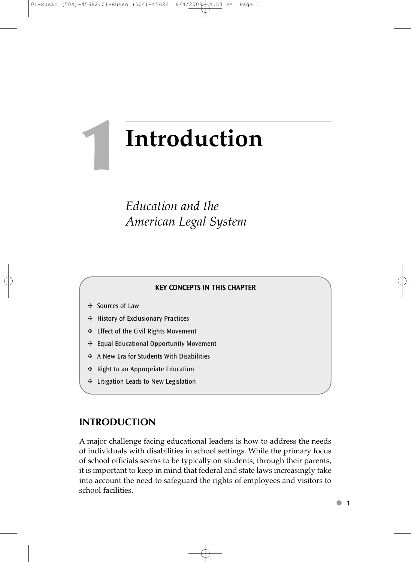# **1Introduction**

## *Education and the American Legal System*

#### KEY CONCEPTS IN THIS CHAPTER

- Sources of Law
- History of Exclusionary Practices
- **:** Effect of the Civil Rights Movement
- Equal Educational Opportunity Movement
- A New Era for Students With Disabilities
- Right to an Appropriate Education
- $\div$  Litigation Leads to New Legislation

### **INTRODUCTION**

A major challenge facing educational leaders is how to address the needs of individuals with disabilities in school settings. While the primary focus of school officials seems to be typically on students, through their parents, it is important to keep in mind that federal and state laws increasingly take into account the need to safeguard the rights of employees and visitors to school facilities.

 $\bullet$  1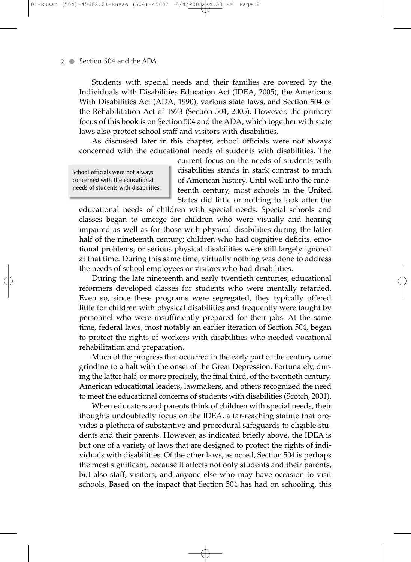Students with special needs and their families are covered by the Individuals with Disabilities Education Act (IDEA, 2005), the Americans With Disabilities Act (ADA, 1990), various state laws, and Section 504 of the Rehabilitation Act of 1973 (Section 504, 2005). However, the primary focus of this book is on Section 504 and the ADA, which together with state laws also protect school staff and visitors with disabilities.

As discussed later in this chapter, school officials were not always concerned with the educational needs of students with disabilities. The

School officials were not always concerned with the educational needs of students with disabilities. current focus on the needs of students with disabilities stands in stark contrast to much of American history. Until well into the nineteenth century, most schools in the United States did little or nothing to look after the

educational needs of children with special needs. Special schools and classes began to emerge for children who were visually and hearing impaired as well as for those with physical disabilities during the latter half of the nineteenth century; children who had cognitive deficits, emotional problems, or serious physical disabilities were still largely ignored at that time. During this same time, virtually nothing was done to address the needs of school employees or visitors who had disabilities.

During the late nineteenth and early twentieth centuries, educational reformers developed classes for students who were mentally retarded. Even so, since these programs were segregated, they typically offered little for children with physical disabilities and frequently were taught by personnel who were insufficiently prepared for their jobs. At the same time, federal laws, most notably an earlier iteration of Section 504, began to protect the rights of workers with disabilities who needed vocational rehabilitation and preparation.

Much of the progress that occurred in the early part of the century came grinding to a halt with the onset of the Great Depression. Fortunately, during the latter half, or more precisely, the final third, of the twentieth century, American educational leaders, lawmakers, and others recognized the need to meet the educational concerns of students with disabilities (Scotch, 2001).

When educators and parents think of children with special needs, their thoughts undoubtedly focus on the IDEA, a far-reaching statute that provides a plethora of substantive and procedural safeguards to eligible students and their parents. However, as indicated briefly above, the IDEA is but one of a variety of laws that are designed to protect the rights of individuals with disabilities. Of the other laws, as noted, Section 504 is perhaps the most significant, because it affects not only students and their parents, but also staff, visitors, and anyone else who may have occasion to visit schools. Based on the impact that Section 504 has had on schooling, this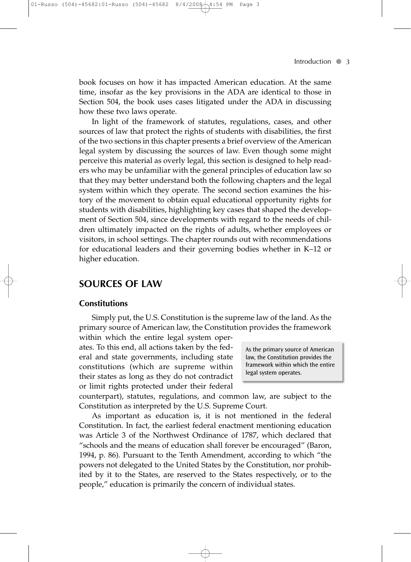book focuses on how it has impacted American education. At the same time, insofar as the key provisions in the ADA are identical to those in Section 504, the book uses cases litigated under the ADA in discussing how these two laws operate.

In light of the framework of statutes, regulations, cases, and other sources of law that protect the rights of students with disabilities, the first of the two sections in this chapter presents a brief overview of the American legal system by discussing the sources of law. Even though some might perceive this material as overly legal, this section is designed to help readers who may be unfamiliar with the general principles of education law so that they may better understand both the following chapters and the legal system within which they operate. The second section examines the history of the movement to obtain equal educational opportunity rights for students with disabilities, highlighting key cases that shaped the development of Section 504, since developments with regard to the needs of children ultimately impacted on the rights of adults, whether employees or visitors, in school settings. The chapter rounds out with recommendations for educational leaders and their governing bodies whether in K–12 or higher education.

## **SOURCES OF LAW**

#### **Constitutions**

Simply put, the U.S. Constitution is the supreme law of the land. As the primary source of American law, the Constitution provides the framework

within which the entire legal system operates. To this end, all actions taken by the federal and state governments, including state constitutions (which are supreme within their states as long as they do not contradict or limit rights protected under their federal

As the primary source of American law, the Constitution provides the framework within which the entire legal system operates.

counterpart), statutes, regulations, and common law, are subject to the Constitution as interpreted by the U.S. Supreme Court.

As important as education is, it is not mentioned in the federal Constitution. In fact, the earliest federal enactment mentioning education was Article 3 of the Northwest Ordinance of 1787, which declared that "schools and the means of education shall forever be encouraged" (Baron, 1994, p. 86). Pursuant to the Tenth Amendment, according to which "the powers not delegated to the United States by the Constitution, nor prohibited by it to the States, are reserved to the States respectively, or to the people," education is primarily the concern of individual states.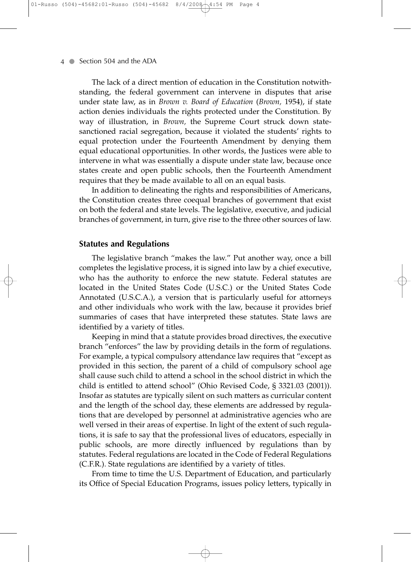The lack of a direct mention of education in the Constitution notwithstanding, the federal government can intervene in disputes that arise under state law, as in *Brown v. Board of Education* (*Brown,* 1954), if state action denies individuals the rights protected under the Constitution. By way of illustration, in *Brown,* the Supreme Court struck down statesanctioned racial segregation, because it violated the students' rights to equal protection under the Fourteenth Amendment by denying them equal educational opportunities. In other words, the Justices were able to intervene in what was essentially a dispute under state law, because once states create and open public schools, then the Fourteenth Amendment requires that they be made available to all on an equal basis.

In addition to delineating the rights and responsibilities of Americans, the Constitution creates three coequal branches of government that exist on both the federal and state levels. The legislative, executive, and judicial branches of government, in turn, give rise to the three other sources of law.

#### **Statutes and Regulations**

The legislative branch "makes the law." Put another way, once a bill completes the legislative process, it is signed into law by a chief executive, who has the authority to enforce the new statute. Federal statutes are located in the United States Code (U.S.C.) or the United States Code Annotated (U.S.C.A.), a version that is particularly useful for attorneys and other individuals who work with the law, because it provides brief summaries of cases that have interpreted these statutes. State laws are identified by a variety of titles.

Keeping in mind that a statute provides broad directives, the executive branch "enforces" the law by providing details in the form of regulations. For example, a typical compulsory attendance law requires that "except as provided in this section, the parent of a child of compulsory school age shall cause such child to attend a school in the school district in which the child is entitled to attend school" (Ohio Revised Code, § 3321.03 (2001)). Insofar as statutes are typically silent on such matters as curricular content and the length of the school day, these elements are addressed by regulations that are developed by personnel at administrative agencies who are well versed in their areas of expertise. In light of the extent of such regulations, it is safe to say that the professional lives of educators, especially in public schools, are more directly influenced by regulations than by statutes. Federal regulations are located in the Code of Federal Regulations (C.F.R.). State regulations are identified by a variety of titles.

From time to time the U.S. Department of Education, and particularly its Office of Special Education Programs, issues policy letters, typically in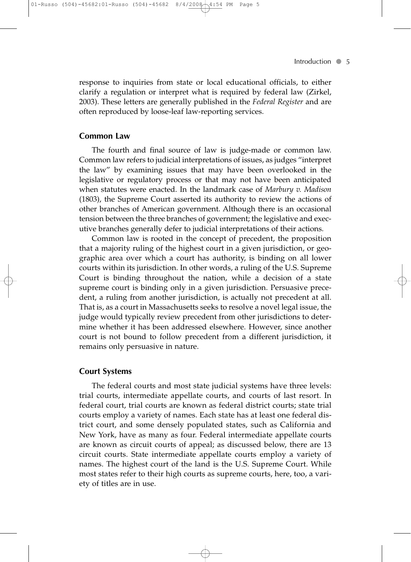response to inquiries from state or local educational officials, to either clarify a regulation or interpret what is required by federal law (Zirkel, 2003). These letters are generally published in the *Federal Register* and are often reproduced by loose-leaf law-reporting services.

#### **Common Law**

The fourth and final source of law is judge-made or common law. Common law refers to judicial interpretations of issues, as judges "interpret the law" by examining issues that may have been overlooked in the legislative or regulatory process or that may not have been anticipated when statutes were enacted. In the landmark case of *Marbury v. Madison* (1803), the Supreme Court asserted its authority to review the actions of other branches of American government. Although there is an occasional tension between the three branches of government; the legislative and executive branches generally defer to judicial interpretations of their actions.

Common law is rooted in the concept of precedent, the proposition that a majority ruling of the highest court in a given jurisdiction, or geographic area over which a court has authority, is binding on all lower courts within its jurisdiction. In other words, a ruling of the U.S. Supreme Court is binding throughout the nation, while a decision of a state supreme court is binding only in a given jurisdiction. Persuasive precedent, a ruling from another jurisdiction, is actually not precedent at all. That is, as a court in Massachusetts seeks to resolve a novel legal issue, the judge would typically review precedent from other jurisdictions to determine whether it has been addressed elsewhere. However, since another court is not bound to follow precedent from a different jurisdiction, it remains only persuasive in nature.

#### **Court Systems**

The federal courts and most state judicial systems have three levels: trial courts, intermediate appellate courts, and courts of last resort. In federal court, trial courts are known as federal district courts; state trial courts employ a variety of names. Each state has at least one federal district court, and some densely populated states, such as California and New York, have as many as four. Federal intermediate appellate courts are known as circuit courts of appeal; as discussed below, there are 13 circuit courts. State intermediate appellate courts employ a variety of names. The highest court of the land is the U.S. Supreme Court. While most states refer to their high courts as supreme courts, here, too, a variety of titles are in use.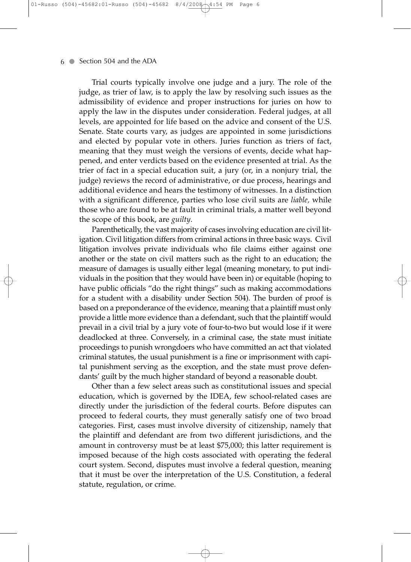Trial courts typically involve one judge and a jury. The role of the judge, as trier of law, is to apply the law by resolving such issues as the admissibility of evidence and proper instructions for juries on how to apply the law in the disputes under consideration. Federal judges, at all levels, are appointed for life based on the advice and consent of the U.S. Senate. State courts vary, as judges are appointed in some jurisdictions and elected by popular vote in others. Juries function as triers of fact, meaning that they must weigh the versions of events, decide what happened, and enter verdicts based on the evidence presented at trial. As the trier of fact in a special education suit, a jury (or, in a nonjury trial, the judge) reviews the record of administrative, or due process, hearings and additional evidence and hears the testimony of witnesses. In a distinction with a significant difference, parties who lose civil suits are *liable,* while those who are found to be at fault in criminal trials, a matter well beyond the scope of this book, are *guilty*.

Parenthetically, the vast majority of cases involving education are civil litigation. Civil litigation differs from criminal actions in three basic ways. Civil litigation involves private individuals who file claims either against one another or the state on civil matters such as the right to an education; the measure of damages is usually either legal (meaning monetary, to put individuals in the position that they would have been in) or equitable (hoping to have public officials "do the right things" such as making accommodations for a student with a disability under Section 504). The burden of proof is based on a preponderance of the evidence, meaning that a plaintiff must only provide a little more evidence than a defendant, such that the plaintiff would prevail in a civil trial by a jury vote of four-to-two but would lose if it were deadlocked at three. Conversely, in a criminal case, the state must initiate proceedings to punish wrongdoers who have committed an act that violated criminal statutes, the usual punishment is a fine or imprisonment with capital punishment serving as the exception, and the state must prove defendants' guilt by the much higher standard of beyond a reasonable doubt.

Other than a few select areas such as constitutional issues and special education, which is governed by the IDEA, few school-related cases are directly under the jurisdiction of the federal courts. Before disputes can proceed to federal courts, they must generally satisfy one of two broad categories. First, cases must involve diversity of citizenship, namely that the plaintiff and defendant are from two different jurisdictions, and the amount in controversy must be at least \$75,000; this latter requirement is imposed because of the high costs associated with operating the federal court system. Second, disputes must involve a federal question, meaning that it must be over the interpretation of the U.S. Constitution, a federal statute, regulation, or crime.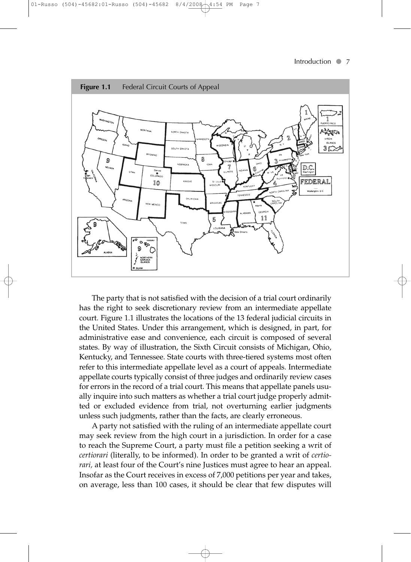

The party that is not satisfied with the decision of a trial court ordinarily has the right to seek discretionary review from an intermediate appellate court. Figure 1.1 illustrates the locations of the 13 federal judicial circuits in the United States. Under this arrangement, which is designed, in part, for administrative ease and convenience, each circuit is composed of several states. By way of illustration, the Sixth Circuit consists of Michigan, Ohio, Kentucky, and Tennessee. State courts with three-tiered systems most often refer to this intermediate appellate level as a court of appeals. Intermediate appellate courts typically consist of three judges and ordinarily review cases for errors in the record of a trial court. This means that appellate panels usually inquire into such matters as whether a trial court judge properly admitted or excluded evidence from trial, not overturning earlier judgments unless such judgments, rather than the facts, are clearly erroneous.

A party not satisfied with the ruling of an intermediate appellate court may seek review from the high court in a jurisdiction. In order for a case to reach the Supreme Court, a party must file a petition seeking a writ of *certiorari* (literally, to be informed). In order to be granted a writ of *certiorari*, at least four of the Court's nine Justices must agree to hear an appeal. Insofar as the Court receives in excess of 7,000 petitions per year and takes, on average, less than 100 cases, it should be clear that few disputes will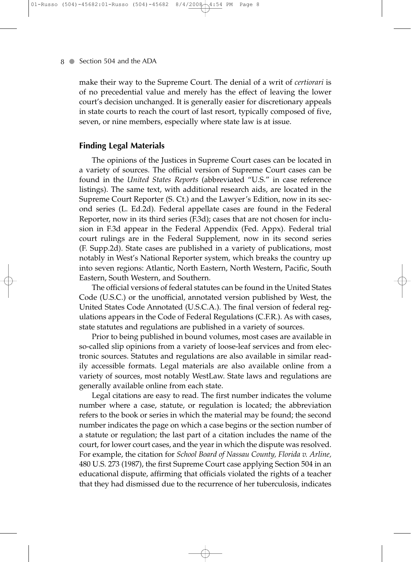make their way to the Supreme Court. The denial of a writ of *certiorari* is of no precedential value and merely has the effect of leaving the lower court's decision unchanged. It is generally easier for discretionary appeals in state courts to reach the court of last resort, typically composed of five, seven, or nine members, especially where state law is at issue.

#### **Finding Legal Materials**

The opinions of the Justices in Supreme Court cases can be located in a variety of sources. The official version of Supreme Court cases can be found in the *United States Reports* (abbreviated "U.S." in case reference listings). The same text, with additional research aids, are located in the Supreme Court Reporter (S. Ct.) and the Lawyer's Edition, now in its second series (L. Ed.2d). Federal appellate cases are found in the Federal Reporter, now in its third series (F.3d); cases that are not chosen for inclusion in F.3d appear in the Federal Appendix (Fed. Appx). Federal trial court rulings are in the Federal Supplement, now in its second series (F. Supp.2d). State cases are published in a variety of publications, most notably in West's National Reporter system, which breaks the country up into seven regions: Atlantic, North Eastern, North Western, Pacific, South Eastern, South Western, and Southern.

The official versions of federal statutes can be found in the United States Code (U.S.C.) or the unofficial, annotated version published by West, the United States Code Annotated (U.S.C.A.). The final version of federal regulations appears in the Code of Federal Regulations (C.F.R.). As with cases, state statutes and regulations are published in a variety of sources.

Prior to being published in bound volumes, most cases are available in so-called slip opinions from a variety of loose-leaf services and from electronic sources. Statutes and regulations are also available in similar readily accessible formats. Legal materials are also available online from a variety of sources, most notably WestLaw. State laws and regulations are generally available online from each state.

Legal citations are easy to read. The first number indicates the volume number where a case, statute, or regulation is located; the abbreviation refers to the book or series in which the material may be found; the second number indicates the page on which a case begins or the section number of a statute or regulation; the last part of a citation includes the name of the court, for lower court cases, and the year in which the dispute was resolved. For example, the citation for *School Board of Nassau County, Florida v. Arline,* 480 U.S. 273 (1987), the first Supreme Court case applying Section 504 in an educational dispute, affirming that officials violated the rights of a teacher that they had dismissed due to the recurrence of her tuberculosis, indicates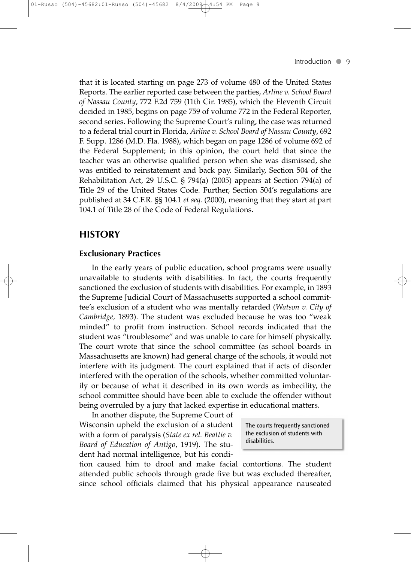that it is located starting on page 273 of volume 480 of the United States Reports. The earlier reported case between the parties, *Arline v. School Board of Nassau County*, 772 F.2d 759 (11th Cir. 1985), which the Eleventh Circuit decided in 1985, begins on page 759 of volume 772 in the Federal Reporter, second series. Following the Supreme Court's ruling, the case was returned to a federal trial court in Florida, *Arline v. School Board of Nassau County*, 692 F. Supp. 1286 (M.D. Fla. 1988), which began on page 1286 of volume 692 of the Federal Supplement; in this opinion, the court held that since the teacher was an otherwise qualified person when she was dismissed, she was entitled to reinstatement and back pay. Similarly, Section 504 of the Rehabilitation Act, 29 U.S.C. § 794(a) (2005) appears at Section 794(a) of Title 29 of the United States Code. Further, Section 504's regulations are published at 34 C.F.R. §§ 104.1 *et seq*. (2000), meaning that they start at part 104.1 of Title 28 of the Code of Federal Regulations.

### **HISTORY**

#### **Exclusionary Practices**

In the early years of public education, school programs were usually unavailable to students with disabilities. In fact, the courts frequently sanctioned the exclusion of students with disabilities. For example, in 1893 the Supreme Judicial Court of Massachusetts supported a school committee's exclusion of a student who was mentally retarded (*Watson v. City of Cambridge,* 1893). The student was excluded because he was too "weak minded" to profit from instruction. School records indicated that the student was "troublesome" and was unable to care for himself physically. The court wrote that since the school committee (as school boards in Massachusetts are known) had general charge of the schools, it would not interfere with its judgment. The court explained that if acts of disorder interfered with the operation of the schools, whether committed voluntarily or because of what it described in its own words as imbecility, the school committee should have been able to exclude the offender without being overruled by a jury that lacked expertise in educational matters.

In another dispute, the Supreme Court of Wisconsin upheld the exclusion of a student with a form of paralysis (*State ex rel. Beattie v. Board of Education of Antigo*, 1919). The student had normal intelligence, but his condi-

The courts frequently sanctioned the exclusion of students with disabilities.

tion caused him to drool and make facial contortions. The student attended public schools through grade five but was excluded thereafter, since school officials claimed that his physical appearance nauseated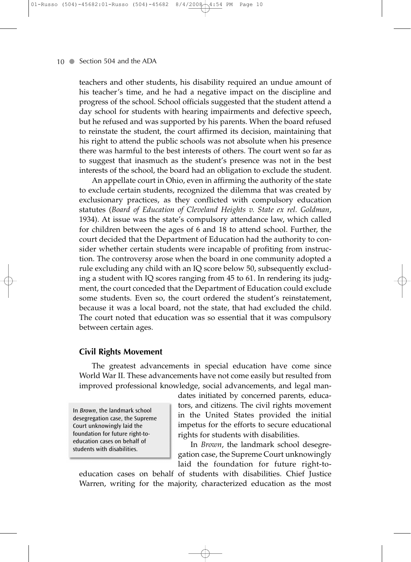teachers and other students, his disability required an undue amount of his teacher's time, and he had a negative impact on the discipline and progress of the school. School officials suggested that the student attend a day school for students with hearing impairments and defective speech, but he refused and was supported by his parents. When the board refused to reinstate the student, the court affirmed its decision, maintaining that his right to attend the public schools was not absolute when his presence there was harmful to the best interests of others. The court went so far as to suggest that inasmuch as the student's presence was not in the best interests of the school, the board had an obligation to exclude the student.

An appellate court in Ohio, even in affirming the authority of the state to exclude certain students, recognized the dilemma that was created by exclusionary practices, as they conflicted with compulsory education statutes (*Board of Education of Cleveland Heights v. State ex rel. Goldman*, 1934). At issue was the state's compulsory attendance law, which called for children between the ages of 6 and 18 to attend school. Further, the court decided that the Department of Education had the authority to consider whether certain students were incapable of profiting from instruction. The controversy arose when the board in one community adopted a rule excluding any child with an IQ score below 50, subsequently excluding a student with IQ scores ranging from 45 to 61. In rendering its judgment, the court conceded that the Department of Education could exclude some students. Even so, the court ordered the student's reinstatement, because it was a local board, not the state, that had excluded the child. The court noted that education was so essential that it was compulsory between certain ages.

#### **Civil Rights Movement**

The greatest advancements in special education have come since World War II. These advancements have not come easily but resulted from improved professional knowledge, social advancements, and legal man-

In Brown, the landmark school desegregation case, the Supreme Court unknowingly laid the foundation for future right-toeducation cases on behalf of students with disabilities.

dates initiated by concerned parents, educators, and citizens. The civil rights movement in the United States provided the initial impetus for the efforts to secure educational rights for students with disabilities.

In *Brown*, the landmark school desegregation case, the Supreme Court unknowingly laid the foundation for future right-to-

education cases on behalf of students with disabilities. Chief Justice Warren, writing for the majority, characterized education as the most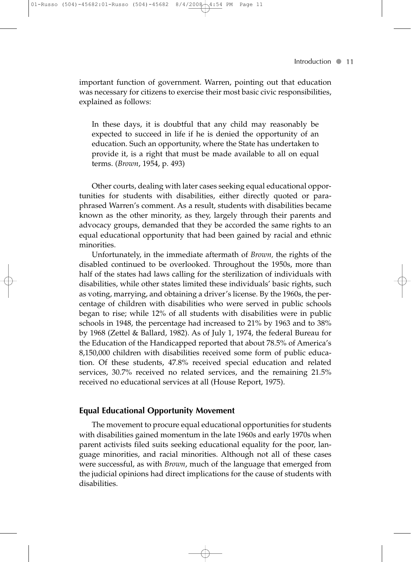important function of government. Warren, pointing out that education was necessary for citizens to exercise their most basic civic responsibilities, explained as follows:

In these days, it is doubtful that any child may reasonably be expected to succeed in life if he is denied the opportunity of an education. Such an opportunity, where the State has undertaken to provide it, is a right that must be made available to all on equal terms. (*Brown*, 1954, p. 493)

Other courts, dealing with later cases seeking equal educational opportunities for students with disabilities, either directly quoted or paraphrased Warren's comment. As a result, students with disabilities became known as the other minority, as they, largely through their parents and advocacy groups, demanded that they be accorded the same rights to an equal educational opportunity that had been gained by racial and ethnic minorities.

Unfortunately, in the immediate aftermath of *Brown,* the rights of the disabled continued to be overlooked. Throughout the 1950s, more than half of the states had laws calling for the sterilization of individuals with disabilities, while other states limited these individuals' basic rights, such as voting, marrying, and obtaining a driver's license. By the 1960s, the percentage of children with disabilities who were served in public schools began to rise; while 12% of all students with disabilities were in public schools in 1948, the percentage had increased to 21% by 1963 and to 38% by 1968 (Zettel & Ballard, 1982). As of July 1, 1974, the federal Bureau for the Education of the Handicapped reported that about 78.5% of America's 8,150,000 children with disabilities received some form of public education. Of these students, 47.8% received special education and related services, 30.7% received no related services, and the remaining 21.5% received no educational services at all (House Report, 1975).

#### **Equal Educational Opportunity Movement**

The movement to procure equal educational opportunities for students with disabilities gained momentum in the late 1960s and early 1970s when parent activists filed suits seeking educational equality for the poor, language minorities, and racial minorities. Although not all of these cases were successful, as with *Brown*, much of the language that emerged from the judicial opinions had direct implications for the cause of students with disabilities.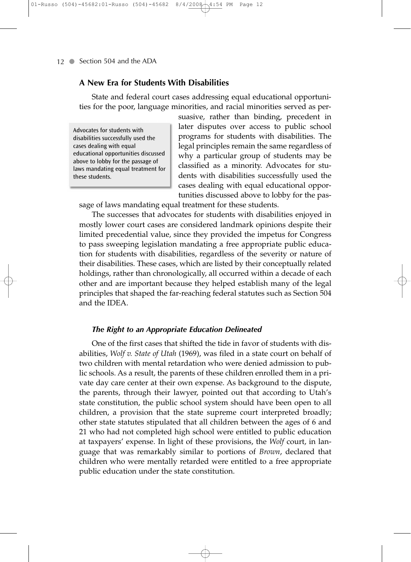#### 01-Russo (504)-45682:01-Russo (504)-45682 8/4/2008 4:54 PM Page 12

12 • Section 504 and the ADA

#### **A New Era for Students With Disabilities**

State and federal court cases addressing equal educational opportunities for the poor, language minorities, and racial minorities served as per-

Advocates for students with disabilities successfully used the cases dealing with equal educational opportunities discussed above to lobby for the passage of laws mandating equal treatment for these students.

suasive, rather than binding, precedent in later disputes over access to public school programs for students with disabilities. The legal principles remain the same regardless of why a particular group of students may be classified as a minority. Advocates for students with disabilities successfully used the cases dealing with equal educational opportunities discussed above to lobby for the pas-

sage of laws mandating equal treatment for these students.

The successes that advocates for students with disabilities enjoyed in mostly lower court cases are considered landmark opinions despite their limited precedential value, since they provided the impetus for Congress to pass sweeping legislation mandating a free appropriate public education for students with disabilities, regardless of the severity or nature of their disabilities. These cases, which are listed by their conceptually related holdings, rather than chronologically, all occurred within a decade of each other and are important because they helped establish many of the legal principles that shaped the far-reaching federal statutes such as Section 504 and the IDEA.

#### *The Right to an Appropriate Education Delineated*

One of the first cases that shifted the tide in favor of students with disabilities, *Wolf v. State of Utah* (1969), was filed in a state court on behalf of two children with mental retardation who were denied admission to public schools. As a result, the parents of these children enrolled them in a private day care center at their own expense. As background to the dispute, the parents, through their lawyer, pointed out that according to Utah's state constitution, the public school system should have been open to all children, a provision that the state supreme court interpreted broadly; other state statutes stipulated that all children between the ages of 6 and 21 who had not completed high school were entitled to public education at taxpayers' expense. In light of these provisions, the *Wolf* court, in language that was remarkably similar to portions of *Brown*, declared that children who were mentally retarded were entitled to a free appropriate public education under the state constitution.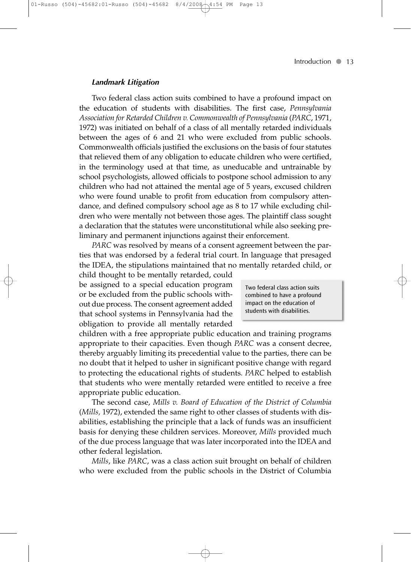#### *Landmark Litigation*

Two federal class action suits combined to have a profound impact on the education of students with disabilities. The first case, *Pennsylvania Association for Retarded Children v. Commonwealth of Pennsylvania* (*PARC*, 1971, 1972) was initiated on behalf of a class of all mentally retarded individuals between the ages of 6 and 21 who were excluded from public schools. Commonwealth officials justified the exclusions on the basis of four statutes that relieved them of any obligation to educate children who were certified, in the terminology used at that time, as uneducable and untrainable by school psychologists, allowed officials to postpone school admission to any children who had not attained the mental age of 5 years, excused children who were found unable to profit from education from compulsory attendance, and defined compulsory school age as 8 to 17 while excluding children who were mentally not between those ages. The plaintiff class sought a declaration that the statutes were unconstitutional while also seeking preliminary and permanent injunctions against their enforcement.

*PARC* was resolved by means of a consent agreement between the parties that was endorsed by a federal trial court. In language that presaged the IDEA, the stipulations maintained that no mentally retarded child, or

child thought to be mentally retarded, could be assigned to a special education program or be excluded from the public schools without due process. The consent agreement added that school systems in Pennsylvania had the obligation to provide all mentally retarded

Two federal class action suits combined to have a profound impact on the education of students with disabilities.

children with a free appropriate public education and training programs appropriate to their capacities. Even though *PARC* was a consent decree, thereby arguably limiting its precedential value to the parties, there can be no doubt that it helped to usher in significant positive change with regard to protecting the educational rights of students. *PARC* helped to establish that students who were mentally retarded were entitled to receive a free appropriate public education.

The second case, *Mills v. Board of Education of the District of Columbia* (*Mills,* 1972), extended the same right to other classes of students with disabilities, establishing the principle that a lack of funds was an insufficient basis for denying these children services. Moreover, *Mills* provided much of the due process language that was later incorporated into the IDEA and other federal legislation.

*Mills*, like *PARC*, was a class action suit brought on behalf of children who were excluded from the public schools in the District of Columbia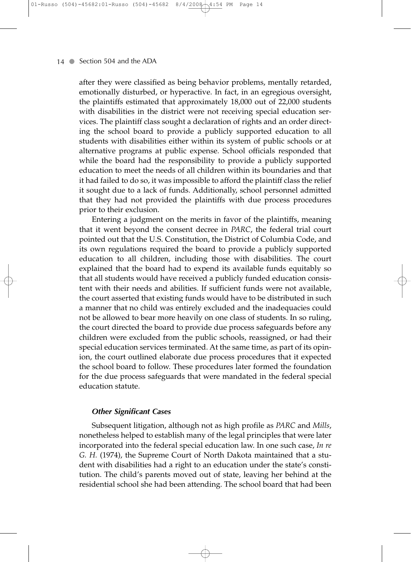after they were classified as being behavior problems, mentally retarded, emotionally disturbed, or hyperactive. In fact, in an egregious oversight, the plaintiffs estimated that approximately 18,000 out of 22,000 students with disabilities in the district were not receiving special education services. The plaintiff class sought a declaration of rights and an order directing the school board to provide a publicly supported education to all students with disabilities either within its system of public schools or at alternative programs at public expense. School officials responded that while the board had the responsibility to provide a publicly supported education to meet the needs of all children within its boundaries and that it had failed to do so, it was impossible to afford the plaintiff class the relief it sought due to a lack of funds. Additionally, school personnel admitted that they had not provided the plaintiffs with due process procedures prior to their exclusion.

Entering a judgment on the merits in favor of the plaintiffs, meaning that it went beyond the consent decree in *PARC*, the federal trial court pointed out that the U.S. Constitution, the District of Columbia Code, and its own regulations required the board to provide a publicly supported education to all children, including those with disabilities. The court explained that the board had to expend its available funds equitably so that all students would have received a publicly funded education consistent with their needs and abilities. If sufficient funds were not available, the court asserted that existing funds would have to be distributed in such a manner that no child was entirely excluded and the inadequacies could not be allowed to bear more heavily on one class of students. In so ruling, the court directed the board to provide due process safeguards before any children were excluded from the public schools, reassigned, or had their special education services terminated. At the same time, as part of its opinion, the court outlined elaborate due process procedures that it expected the school board to follow. These procedures later formed the foundation for the due process safeguards that were mandated in the federal special education statute.

#### *Other Significant Cases*

Subsequent litigation, although not as high profile as *PARC* and *Mills*, nonetheless helped to establish many of the legal principles that were later incorporated into the federal special education law. In one such case, *In re G. H.* (1974), the Supreme Court of North Dakota maintained that a student with disabilities had a right to an education under the state's constitution. The child's parents moved out of state, leaving her behind at the residential school she had been attending. The school board that had been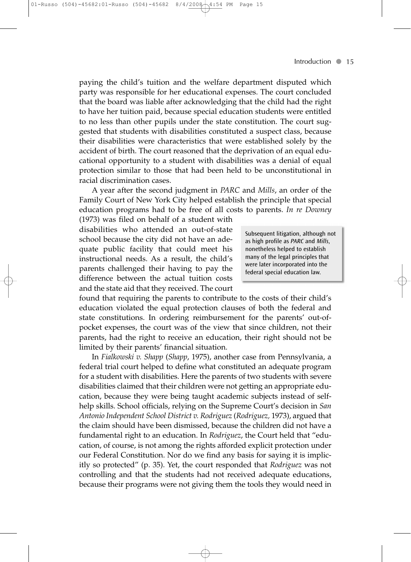paying the child's tuition and the welfare department disputed which party was responsible for her educational expenses. The court concluded that the board was liable after acknowledging that the child had the right to have her tuition paid, because special education students were entitled to no less than other pupils under the state constitution. The court suggested that students with disabilities constituted a suspect class, because their disabilities were characteristics that were established solely by the accident of birth. The court reasoned that the deprivation of an equal educational opportunity to a student with disabilities was a denial of equal protection similar to those that had been held to be unconstitutional in racial discrimination cases.

A year after the second judgment in *PARC* and *Mills*, an order of the Family Court of New York City helped establish the principle that special education programs had to be free of all costs to parents. *In re Downey*

(1973) was filed on behalf of a student with disabilities who attended an out-of-state school because the city did not have an adequate public facility that could meet his instructional needs. As a result, the child's parents challenged their having to pay the difference between the actual tuition costs and the state aid that they received. The court

Subsequent litigation, although not as high profile as PARC and Mills, nonetheless helped to establish many of the legal principles that were later incorporated into the federal special education law.

found that requiring the parents to contribute to the costs of their child's education violated the equal protection clauses of both the federal and state constitutions. In ordering reimbursement for the parents' out-ofpocket expenses, the court was of the view that since children, not their parents, had the right to receive an education, their right should not be limited by their parents' financial situation.

In *Fialkowski v. Shapp* (*Shapp*, 1975), another case from Pennsylvania, a federal trial court helped to define what constituted an adequate program for a student with disabilities. Here the parents of two students with severe disabilities claimed that their children were not getting an appropriate education, because they were being taught academic subjects instead of selfhelp skills. School officials, relying on the Supreme Court's decision in *San Antonio Independent School District v. Rodriguez* (*Rodriguez,* 1973), argued that the claim should have been dismissed, because the children did not have a fundamental right to an education. In *Rodriguez*, the Court held that "education, of course, is not among the rights afforded explicit protection under our Federal Constitution. Nor do we find any basis for saying it is implicitly so protected" (p. 35). Yet, the court responded that *Rodriguez* was not controlling and that the students had not received adequate educations, because their programs were not giving them the tools they would need in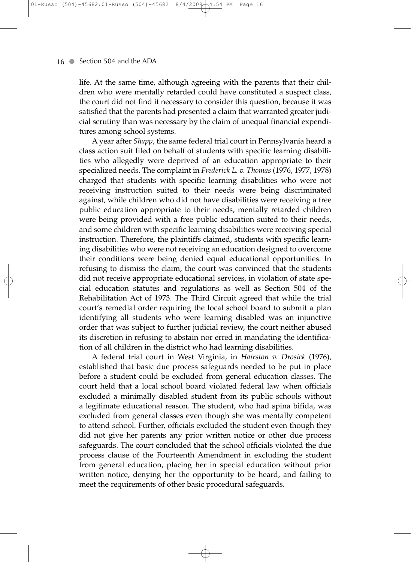life. At the same time, although agreeing with the parents that their children who were mentally retarded could have constituted a suspect class, the court did not find it necessary to consider this question, because it was satisfied that the parents had presented a claim that warranted greater judicial scrutiny than was necessary by the claim of unequal financial expenditures among school systems.

A year after *Shapp*, the same federal trial court in Pennsylvania heard a class action suit filed on behalf of students with specific learning disabilities who allegedly were deprived of an education appropriate to their specialized needs. The complaint in *Frederick L. v. Thomas* (1976, 1977, 1978) charged that students with specific learning disabilities who were not receiving instruction suited to their needs were being discriminated against, while children who did not have disabilities were receiving a free public education appropriate to their needs, mentally retarded children were being provided with a free public education suited to their needs, and some children with specific learning disabilities were receiving special instruction. Therefore, the plaintiffs claimed, students with specific learning disabilities who were not receiving an education designed to overcome their conditions were being denied equal educational opportunities. In refusing to dismiss the claim, the court was convinced that the students did not receive appropriate educational services, in violation of state special education statutes and regulations as well as Section 504 of the Rehabilitation Act of 1973. The Third Circuit agreed that while the trial court's remedial order requiring the local school board to submit a plan identifying all students who were learning disabled was an injunctive order that was subject to further judicial review, the court neither abused its discretion in refusing to abstain nor erred in mandating the identification of all children in the district who had learning disabilities.

A federal trial court in West Virginia, in *Hairston v. Drosick* (1976), established that basic due process safeguards needed to be put in place before a student could be excluded from general education classes. The court held that a local school board violated federal law when officials excluded a minimally disabled student from its public schools without a legitimate educational reason. The student, who had spina bifida, was excluded from general classes even though she was mentally competent to attend school. Further, officials excluded the student even though they did not give her parents any prior written notice or other due process safeguards. The court concluded that the school officials violated the due process clause of the Fourteenth Amendment in excluding the student from general education, placing her in special education without prior written notice, denying her the opportunity to be heard, and failing to meet the requirements of other basic procedural safeguards.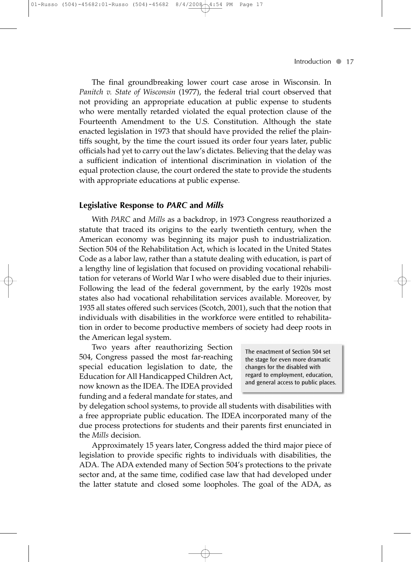The final groundbreaking lower court case arose in Wisconsin. In *Panitch v. State of Wisconsin* (1977), the federal trial court observed that not providing an appropriate education at public expense to students who were mentally retarded violated the equal protection clause of the Fourteenth Amendment to the U.S. Constitution. Although the state enacted legislation in 1973 that should have provided the relief the plaintiffs sought, by the time the court issued its order four years later, public officials had yet to carry out the law's dictates. Believing that the delay was a sufficient indication of intentional discrimination in violation of the equal protection clause, the court ordered the state to provide the students with appropriate educations at public expense.

#### **Legislative Response to** *PARC* **and** *Mills*

With *PARC* and *Mills* as a backdrop, in 1973 Congress reauthorized a statute that traced its origins to the early twentieth century, when the American economy was beginning its major push to industrialization. Section 504 of the Rehabilitation Act, which is located in the United States Code as a labor law, rather than a statute dealing with education, is part of a lengthy line of legislation that focused on providing vocational rehabilitation for veterans of World War I who were disabled due to their injuries. Following the lead of the federal government, by the early 1920s most states also had vocational rehabilitation services available. Moreover, by 1935 all states offered such services (Scotch, 2001), such that the notion that individuals with disabilities in the workforce were entitled to rehabilitation in order to become productive members of society had deep roots in the American legal system.

Two years after reauthorizing Section 504, Congress passed the most far-reaching special education legislation to date, the Education for All Handicapped Children Act, now known as the IDEA. The IDEA provided funding and a federal mandate for states, and

The enactment of Section 504 set the stage for even more dramatic changes for the disabled with regard to employment, education, and general access to public places.

by delegation school systems, to provide all students with disabilities with a free appropriate public education. The IDEA incorporated many of the due process protections for students and their parents first enunciated in the *Mills* decision.

Approximately 15 years later, Congress added the third major piece of legislation to provide specific rights to individuals with disabilities, the ADA. The ADA extended many of Section 504's protections to the private sector and, at the same time, codified case law that had developed under the latter statute and closed some loopholes. The goal of the ADA, as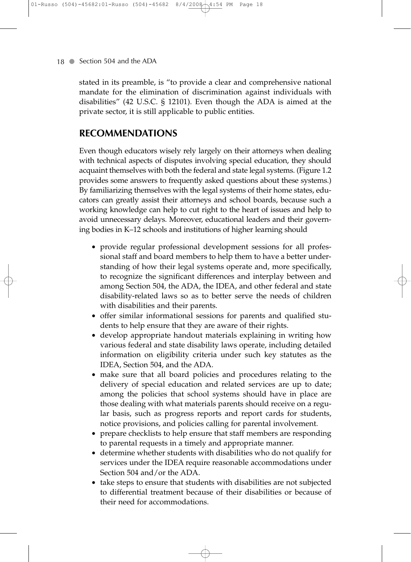stated in its preamble, is "to provide a clear and comprehensive national mandate for the elimination of discrimination against individuals with disabilities" (42 U.S.C. § 12101). Even though the ADA is aimed at the private sector, it is still applicable to public entities.

## **RECOMMENDATIONS**

Even though educators wisely rely largely on their attorneys when dealing with technical aspects of disputes involving special education, they should acquaint themselves with both the federal and state legal systems. (Figure 1.2 provides some answers to frequently asked questions about these systems.) By familiarizing themselves with the legal systems of their home states, educators can greatly assist their attorneys and school boards, because such a working knowledge can help to cut right to the heart of issues and help to avoid unnecessary delays. Moreover, educational leaders and their governing bodies in K–12 schools and institutions of higher learning should

- provide regular professional development sessions for all professional staff and board members to help them to have a better understanding of how their legal systems operate and, more specifically, to recognize the significant differences and interplay between and among Section 504, the ADA, the IDEA, and other federal and state disability-related laws so as to better serve the needs of children with disabilities and their parents.
- offer similar informational sessions for parents and qualified students to help ensure that they are aware of their rights.
- develop appropriate handout materials explaining in writing how various federal and state disability laws operate, including detailed information on eligibility criteria under such key statutes as the IDEA, Section 504, and the ADA.
- make sure that all board policies and procedures relating to the delivery of special education and related services are up to date; among the policies that school systems should have in place are those dealing with what materials parents should receive on a regular basis, such as progress reports and report cards for students, notice provisions, and policies calling for parental involvement.
- prepare checklists to help ensure that staff members are responding to parental requests in a timely and appropriate manner.
- determine whether students with disabilities who do not qualify for services under the IDEA require reasonable accommodations under Section 504 and/or the ADA.
- take steps to ensure that students with disabilities are not subjected to differential treatment because of their disabilities or because of their need for accommodations.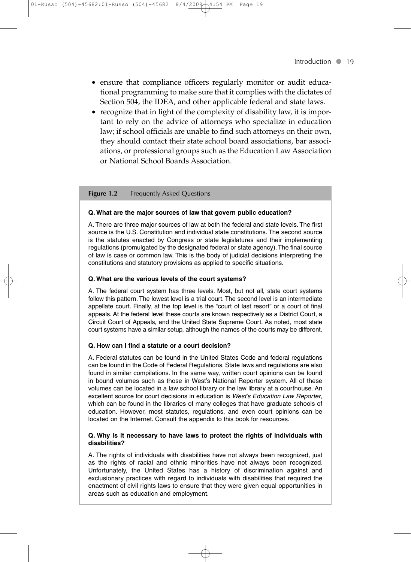- ensure that compliance officers regularly monitor or audit educational programming to make sure that it complies with the dictates of Section 504, the IDEA, and other applicable federal and state laws.
- recognize that in light of the complexity of disability law, it is important to rely on the advice of attorneys who specialize in education law; if school officials are unable to find such attorneys on their own, they should contact their state school board associations, bar associations, or professional groups such as the Education Law Association or National School Boards Association.

#### **Figure 1.2** Frequently Asked Questions

#### **Q. What are the major sources of law that govern public education?**

A. There are three major sources of law at both the federal and state levels. The first source is the U.S. Constitution and individual state constitutions. The second source is the statutes enacted by Congress or state legislatures and their implementing regulations (promulgated by the designated federal or state agency).The final source of law is case or common law. This is the body of judicial decisions interpreting the constitutions and statutory provisions as applied to specific situations.

#### **Q. What are the various levels of the court systems?**

A. The federal court system has three levels. Most, but not all, state court systems follow this pattern. The lowest level is a trial court. The second level is an intermediate appellate court. Finally, at the top level is the "court of last resort" or a court of final appeals. At the federal level these courts are known respectively as a District Court, a Circuit Court of Appeals, and the United State Supreme Court. As noted, most state court systems have a similar setup, although the names of the courts may be different.

#### **Q. How can I find a statute or a court decision?**

A. Federal statutes can be found in the United States Code and federal regulations can be found in the Code of Federal Regulations. State laws and regulations are also found in similar compilations. In the same way, written court opinions can be found in bound volumes such as those in West's National Reporter system. All of these volumes can be located in a law school library or the law library at a courthouse. An excellent source for court decisions in education is *West's Education Law Reporter*, which can be found in the libraries of many colleges that have graduate schools of education. However, most statutes, regulations, and even court opinions can be located on the Internet. Consult the appendix to this book for resources.

#### **Q. Why is it necessary to have laws to protect the rights of individuals with disabilities?**

A. The rights of individuals with disabilities have not always been recognized, just as the rights of racial and ethnic minorities have not always been recognized. Unfortunately, the United States has a history of discrimination against and exclusionary practices with regard to individuals with disabilities that required the enactment of civil rights laws to ensure that they were given equal opportunities in areas such as education and employment.